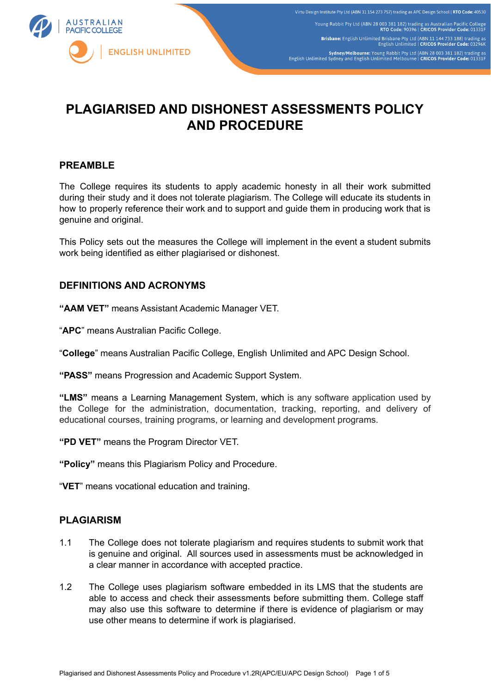

# **PLAGIARISED AND DISHONEST ASSESSMENTS POLICY AND PROCEDURE**

## **PREAMBLE**

The College requires its students to apply academic honesty in all their work submitted during their study and it does not tolerate plagiarism. The College will educate its students in how to properly reference their work and to support and guide them in producing work that is genuine and original.

This Policy sets out the measures the College will implement in the event a student submits work being identified as either plagiarised or dishonest.

## **DEFINITIONS AND ACRONYMS**

**"AAM VET"** means Assistant Academic Manager VET.

"**APC**" means Australian Pacific College.

"**College**" means Australian Pacific College, English Unlimited and APC Design School.

**"PASS"** means Progression and Academic Support System.

**"LMS"** means a Learning Management System, which is any software application used by the College for the administration, documentation, tracking, reporting, and delivery of educational courses, training programs, or learning and development programs.

**"PD VET"** means the Program Director VET.

**"Policy"** means this Plagiarism Policy and Procedure.

"**VET**" means vocational education and training.

## **PLAGIARISM**

- 1.1 The College does not tolerate plagiarism and requires students to submit work that is genuine and original. All sources used in assessments must be acknowledged in a clear manner in accordance with accepted practice.
- 1.2 The College uses plagiarism software embedded in its LMS that the students are able to access and check their assessments before submitting them. College staff may also use this software to determine if there is evidence of plagiarism or may use other means to determine if work is plagiarised.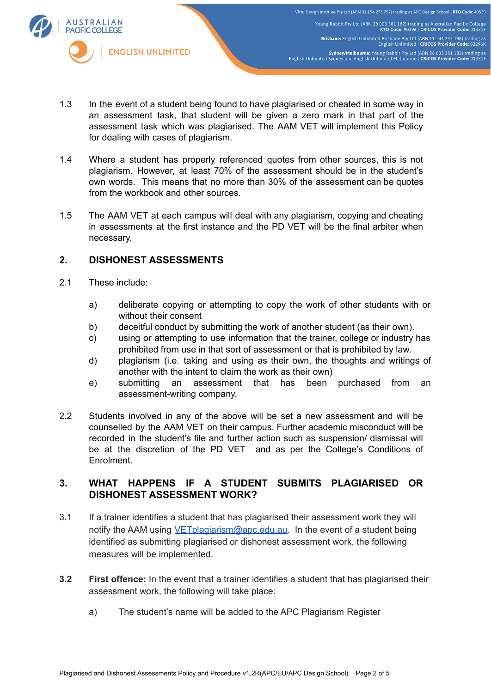

- 1.3 In the event of a student being found to have plagiarised or cheated in some way in an assessment task, that student will be given a zero mark in that part of the assessment task which was plagiarised. The AAM VET will implement this Policy for dealing with cases of plagiarism.
- 1.4 Where a student has properly referenced quotes from other sources, this is not plagiarism. However, at least 70% of the assessment should be in the student's own words. This means that no more than 30% of the assessment can be quotes from the workbook and other sources.
- 1.5 The AAM VET at each campus will deal with any plagiarism, copying and cheating in assessments at the first instance and the PD VET will be the final arbiter when necessary.

## **2. DISHONEST ASSESSMENTS**

- 2.1 These include:
	- a) deliberate copying or attempting to copy the work of other students with or without their consent
	- b) deceitful conduct by submitting the work of another student (as their own).
	- c) using or attempting to use information that the trainer, college or industry has prohibited from use in that sort of assessment or that is prohibited by law.
	- d) plagiarism (i.e. taking and using as their own, the thoughts and writings of another with the intent to claim the work as their own)
	- e) submitting an assessment that has been purchased from an assessment-writing company.
- 2.2 Students involved in any of the above will be set a new assessment and will be counselled by the AAM VET on their campus. Further academic misconduct will be recorded in the student's file and further action such as suspension/ dismissal will be at the discretion of the PD VET and as per the College's Conditions of Enrolment.

## **3. WHAT HAPPENS IF A STUDENT SUBMITS PLAGIARISED OR DISHONEST ASSESSMENT WORK?**

- 3.1 If a trainer identifies a student that has plagiarised their assessment work they will notify the AAM using [VETplagiarism@apc.edu.au.](mailto:VETplagiarism@apc.edu.au) In the event of a student being identified as submitting plagiarised or dishonest assessment work, the following measures will be implemented.
- **3.2 First offence:** In the event that a trainer identifies a student that has plagiarised their assessment work, the following will take place:
	- a) The student's name will be added to the APC Plagiarism Register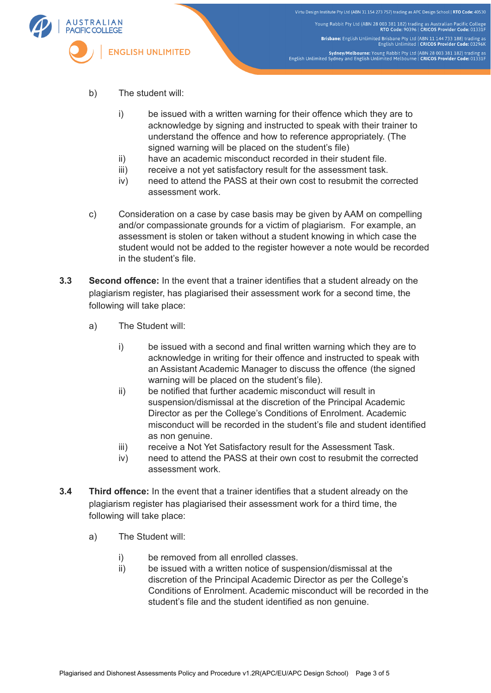

Virtu Design Institute Pty Ltd (ABN 31 154 273 757) trading as APC Design School | RTO Code: 40530 Young Rabbit Pty Ltd (ABN 28 003 381 182) trading as Australian Pacific College<br>RTO Code: 90396 | CRICOS Provider Code: 01331F Brisbane: English Unlimited Brisbane Pty Ltd (ABN 11 144 733 188) trading as<br>English Unlimited | CRICOS Provider Code: 03296K Sydney/Melbourne: Young Rabbit Pty Ltd (ABN 28 003 381 182) trading as<br>English Unlimited Sydney and English Unlimited Melbourne | CRICOS Provider Code: 01331F

- b) The student will:
	- i) be issued with a written warning for their offence which they are to acknowledge by signing and instructed to speak with their trainer to understand the offence and how to reference appropriately. (The signed warning will be placed on the student's file)
	- ii) have an academic misconduct recorded in their student file.
	- iii) receive a not yet satisfactory result for the assessment task.
	- iv) need to attend the PASS at their own cost to resubmit the corrected assessment work.
- c) Consideration on a case by case basis may be given by AAM on compelling and/or compassionate grounds for a victim of plagiarism. For example, an assessment is stolen or taken without a student knowing in which case the student would not be added to the register however a note would be recorded in the student's file.
- **3.3 Second offence:** In the event that a trainer identifies that a student already on the plagiarism register, has plagiarised their assessment work for a second time, the following will take place:
	- a) The Student will:
		- i) be issued with a second and final written warning which they are to acknowledge in writing for their offence and instructed to speak with an Assistant Academic Manager to discuss the offence (the signed warning will be placed on the student's file).
		- ii) be notified that further academic misconduct will result in suspension/dismissal at the discretion of the Principal Academic Director as per the College's Conditions of Enrolment. Academic misconduct will be recorded in the student's file and student identified as non genuine.
		- iii) receive a Not Yet Satisfactory result for the Assessment Task.
		- iv) need to attend the PASS at their own cost to resubmit the corrected assessment work.
- **3.4 Third offence:** In the event that a trainer identifies that a student already on the plagiarism register has plagiarised their assessment work for a third time, the following will take place:
	- a) The Student will:
		- i) be removed from all enrolled classes.
		- ii) be issued with a written notice of suspension/dismissal at the discretion of the Principal Academic Director as per the College's Conditions of Enrolment. Academic misconduct will be recorded in the student's file and the student identified as non genuine.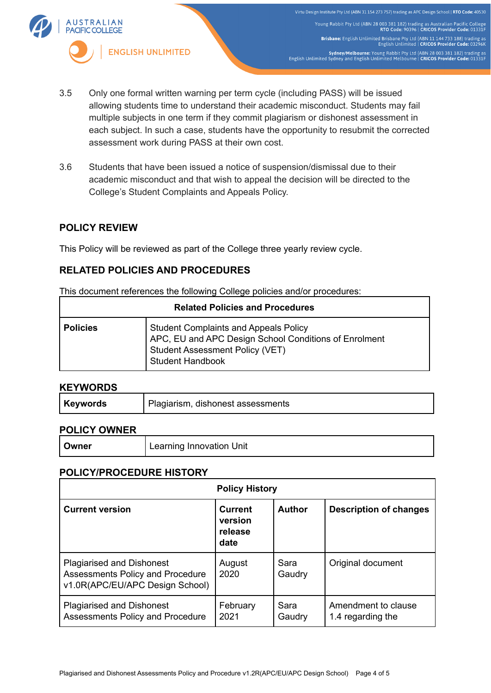

- 3.5 Only one formal written warning per term cycle (including PASS) will be issued allowing students time to understand their academic misconduct. Students may fail multiple subjects in one term if they commit plagiarism or dishonest assessment in each subject. In such a case, students have the opportunity to resubmit the corrected assessment work during PASS at their own cost.
- 3.6 Students that have been issued a notice of suspension/dismissal due to their academic misconduct and that wish to appeal the decision will be directed to the College's Student Complaints and Appeals Policy.

# **POLICY REVIEW**

This Policy will be reviewed as part of the College three yearly review cycle.

# **RELATED POLICIES AND PROCEDURES**

This document references the following College policies and/or procedures:

| <b>Related Policies and Procedures</b> |                                                                                                                                                              |  |  |  |
|----------------------------------------|--------------------------------------------------------------------------------------------------------------------------------------------------------------|--|--|--|
| <b>Policies</b>                        | <b>Student Complaints and Appeals Policy</b><br>APC, EU and APC Design School Conditions of Enrolment<br>Student Assessment Policy (VET)<br>Student Handbook |  |  |  |

## **KEYWORDS**

## **POLICY OWNER**

| Owner | Learning Innovation Unit |
|-------|--------------------------|
|-------|--------------------------|

## **POLICY/PROCEDURE HISTORY**

| <b>Policy History</b>                                                                                   |                                              |                |                                          |  |  |  |
|---------------------------------------------------------------------------------------------------------|----------------------------------------------|----------------|------------------------------------------|--|--|--|
| <b>Current version</b>                                                                                  | <b>Current</b><br>version<br>release<br>date | <b>Author</b>  | <b>Description of changes</b>            |  |  |  |
| <b>Plagiarised and Dishonest</b><br>Assessments Policy and Procedure<br>v1.0R(APC/EU/APC Design School) | August<br>2020                               | Sara<br>Gaudry | Original document                        |  |  |  |
| <b>Plagiarised and Dishonest</b><br>Assessments Policy and Procedure                                    | February<br>2021                             | Sara<br>Gaudry | Amendment to clause<br>1.4 regarding the |  |  |  |